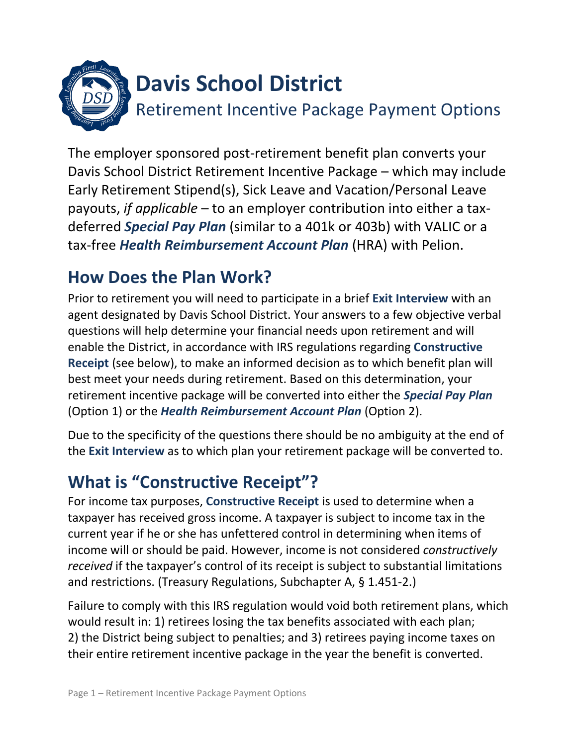

The employer sponsored post-retirement benefit plan converts your Davis School District Retirement Incentive Package – which may include Early Retirement Stipend(s), Sick Leave and Vacation/Personal Leave payouts, *if applicable* – to an employer contribution into either a taxdeferred *Special Pay Plan* (similar to a 401k or 403b) with VALIC or a tax-free *Health Reimbursement Account Plan* (HRA) with Pelion.

# **How Does the Plan Work?**

Prior to retirement you will need to participate in a brief **Exit Interview** with an agent designated by Davis School District. Your answers to a few objective verbal questions will help determine your financial needs upon retirement and will enable the District, in accordance with IRS regulations regarding **Constructive Receipt** (see below), to make an informed decision as to which benefit plan will best meet your needs during retirement. Based on this determination, your retirement incentive package will be converted into either the *Special Pay Plan* (Option 1) or the *Health Reimbursement Account Plan* (Option 2).

Due to the specificity of the questions there should be no ambiguity at the end of the **Exit Interview** as to which plan your retirement package will be converted to.

## **What is "Constructive Receipt"?**

For income tax purposes, **Constructive Receipt** is used to determine when a taxpayer has received gross income. A taxpayer is subject to income tax in the current year if he or she has unfettered control in determining when items of income will or should be paid. However, income is not considered *constructively received* if the taxpayer's control of its receipt is subject to substantial limitations and restrictions. (Treasury Regulations, Subchapter A, § 1.451-2.)

Failure to comply with this IRS regulation would void both retirement plans, which would result in: 1) retirees losing the tax benefits associated with each plan; 2) the District being subject to penalties; and 3) retirees paying income taxes on their entire retirement incentive package in the year the benefit is converted.